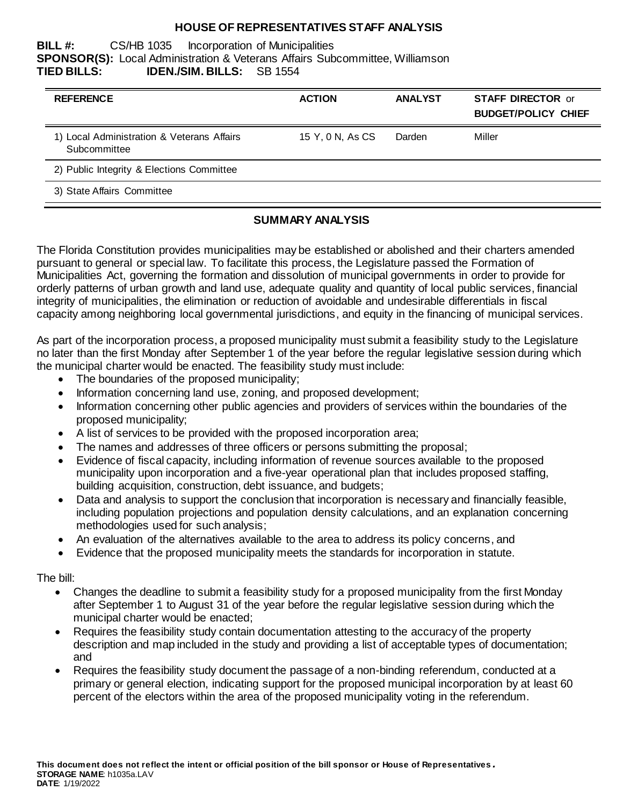## **HOUSE OF REPRESENTATIVES STAFF ANALYSIS**

#### **BILL #:** CS/HB 1035 Incorporation of Municipalities **SPONSOR(S):** Local Administration & Veterans Affairs Subcommittee, Williamson **TIED BILLS: IDEN./SIM. BILLS:** SB 1554

| <b>REFERENCE</b>                                           | <b>ACTION</b>    | <b>ANALYST</b> | <b>STAFF DIRECTOR or</b><br><b>BUDGET/POLICY CHIEF</b> |
|------------------------------------------------------------|------------------|----------------|--------------------------------------------------------|
| 1) Local Administration & Veterans Affairs<br>Subcommittee | 15 Y, 0 N, As CS | Darden         | Miller                                                 |
| 2) Public Integrity & Elections Committee                  |                  |                |                                                        |
| 3) State Affairs Committee                                 |                  |                |                                                        |

## **SUMMARY ANALYSIS**

The Florida Constitution provides municipalities may be established or abolished and their charters amended pursuant to general or special law. To facilitate this process, the Legislature passed the Formation of Municipalities Act, governing the formation and dissolution of municipal governments in order to provide for orderly patterns of urban growth and land use, adequate quality and quantity of local public services, financial integrity of municipalities, the elimination or reduction of avoidable and undesirable differentials in fiscal capacity among neighboring local governmental jurisdictions, and equity in the financing of municipal services.

As part of the incorporation process, a proposed municipality must submit a feasibility study to the Legislature no later than the first Monday after September 1 of the year before the regular legislative session during which the municipal charter would be enacted. The feasibility study must include:

- The boundaries of the proposed municipality;
- Information concerning land use, zoning, and proposed development;
- Information concerning other public agencies and providers of services within the boundaries of the proposed municipality;
- A list of services to be provided with the proposed incorporation area;
- The names and addresses of three officers or persons submitting the proposal;
- Evidence of fiscal capacity, including information of revenue sources available to the proposed municipality upon incorporation and a five-year operational plan that includes proposed staffing, building acquisition, construction, debt issuance, and budgets;
- Data and analysis to support the conclusion that incorporation is necessary and financially feasible, including population projections and population density calculations, and an explanation concerning methodologies used for such analysis;
- An evaluation of the alternatives available to the area to address its policy concerns, and
- Evidence that the proposed municipality meets the standards for incorporation in statute.

The bill:

- Changes the deadline to submit a feasibility study for a proposed municipality from the first Monday after September 1 to August 31 of the year before the regular legislative session during which the municipal charter would be enacted;
- Requires the feasibility study contain documentation attesting to the accuracy of the property description and map included in the study and providing a list of acceptable types of documentation; and
- Requires the feasibility study document the passage of a non-binding referendum, conducted at a primary or general election, indicating support for the proposed municipal incorporation by at least 60 percent of the electors within the area of the proposed municipality voting in the referendum.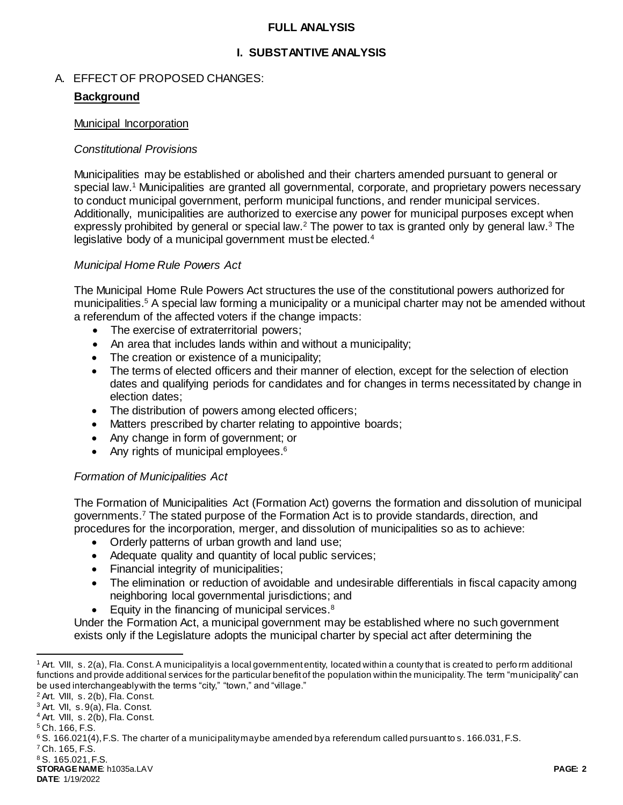### **FULL ANALYSIS**

## **I. SUBSTANTIVE ANALYSIS**

### A. EFFECT OF PROPOSED CHANGES:

### **Background**

#### Municipal Incorporation

### *Constitutional Provisions*

Municipalities may be established or abolished and their charters amended pursuant to general or special law.<sup>1</sup> Municipalities are granted all governmental, corporate, and proprietary powers necessary to conduct municipal government, perform municipal functions, and render municipal services. Additionally, municipalities are authorized to exercise any power for municipal purposes except when expressly prohibited by general or special law.<sup>2</sup> The power to tax is granted only by general law.<sup>3</sup> The legislative body of a municipal government must be elected.<sup>4</sup>

### *Municipal Home Rule Powers Act*

The Municipal Home Rule Powers Act structures the use of the constitutional powers authorized for municipalities.<sup>5</sup> A special law forming a municipality or a municipal charter may not be amended without a referendum of the affected voters if the change impacts:

- The exercise of extraterritorial powers;
- An area that includes lands within and without a municipality;
- The creation or existence of a municipality;
- The terms of elected officers and their manner of election, except for the selection of election dates and qualifying periods for candidates and for changes in terms necessitated by change in election dates;
- The distribution of powers among elected officers;
- Matters prescribed by charter relating to appointive boards;
- Any change in form of government; or
- Any rights of municipal employees. $6$

## *Formation of Municipalities Act*

The Formation of Municipalities Act (Formation Act) governs the formation and dissolution of municipal governments.<sup>7</sup> The stated purpose of the Formation Act is to provide standards, direction, and procedures for the incorporation, merger, and dissolution of municipalities so as to achieve:

- Orderly patterns of urban growth and land use;
- Adequate quality and quantity of local public services;
- Financial integrity of municipalities;
- The elimination or reduction of avoidable and undesirable differentials in fiscal capacity among neighboring local governmental jurisdictions; and
- Equity in the financing of municipal services.<sup>8</sup>

Under the Formation Act, a municipal government may be established where no such government exists only if the Legislature adopts the municipal charter by special act after determining the

l

<sup>7</sup> Ch. 165, F.S.

<sup>&</sup>lt;sup>1</sup> Art. VIII, s. 2(a), Fla. Const. A municipality is a local government entity, located within a county that is created to perform additional functions and provide additional services for the particular benefit of the population within the municipality. The term "municipality" can be used interchangeably with the terms "city," "town," and "village."

<sup>2</sup> Art. VIII, s. 2(b), Fla. Const.

 $3$  Art. VII, s.  $9(a)$ , Fla. Const.

<sup>4</sup> Art. VIII, s. 2(b), Fla. Const.

<sup>5</sup> Ch. 166, F.S.

<sup>6</sup> S. 166.021(4), F.S. The charter of a municipality may be amended by a referendum called pursuant to s. 166.031, F.S.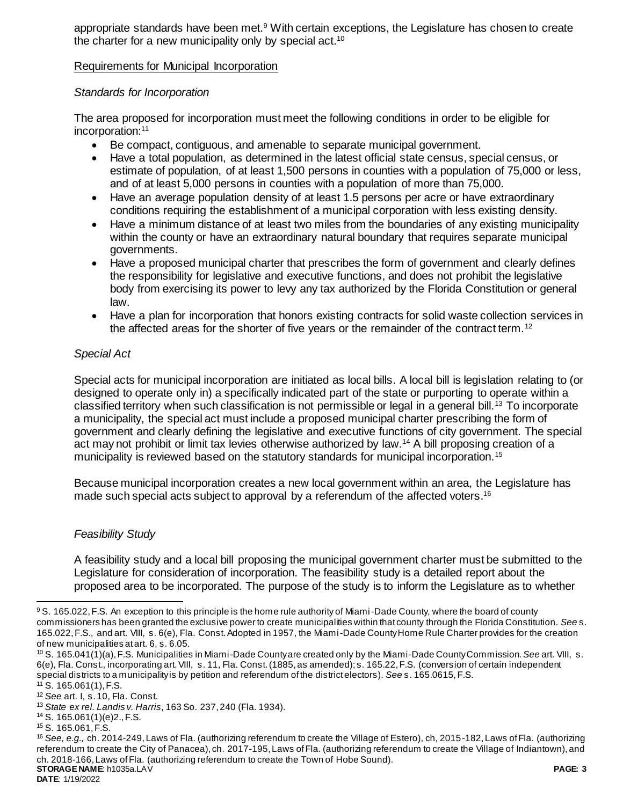appropriate standards have been met.<sup>9</sup> With certain exceptions, the Legislature has chosen to create the charter for a new municipality only by special act.<sup>10</sup>

### Requirements for Municipal Incorporation

### *Standards for Incorporation*

The area proposed for incorporation must meet the following conditions in order to be eligible for incorporation:<sup>11</sup>

- Be compact, contiguous, and amenable to separate municipal government.
- Have a total population, as determined in the latest official state census, special census, or estimate of population, of at least 1,500 persons in counties with a population of 75,000 or less, and of at least 5,000 persons in counties with a population of more than 75,000.
- Have an average population density of at least 1.5 persons per acre or have extraordinary conditions requiring the establishment of a municipal corporation with less existing density.
- Have a minimum distance of at least two miles from the boundaries of any existing municipality within the county or have an extraordinary natural boundary that requires separate municipal governments.
- Have a proposed municipal charter that prescribes the form of government and clearly defines the responsibility for legislative and executive functions, and does not prohibit the legislative body from exercising its power to levy any tax authorized by the Florida Constitution or general law.
- Have a plan for incorporation that honors existing contracts for solid waste collection services in the affected areas for the shorter of five years or the remainder of the contract term.<sup>12</sup>

### *Special Act*

Special acts for municipal incorporation are initiated as local bills. A local bill is legislation relating to (or designed to operate only in) a specifically indicated part of the state or purporting to operate within a classified territory when such classification is not permissible or legal in a general bill.<sup>13</sup> To incorporate a municipality, the special act must include a proposed municipal charter prescribing the form of government and clearly defining the legislative and executive functions of city government. The special act may not prohibit or limit tax levies otherwise authorized by law.<sup>14</sup> A bill proposing creation of a municipality is reviewed based on the statutory standards for municipal incorporation.<sup>15</sup>

Because municipal incorporation creates a new local government within an area, the Legislature has made such special acts subject to approval by a referendum of the affected voters. 16

#### *Feasibility Study*

A feasibility study and a local bill proposing the municipal government charter must be submitted to the Legislature for consideration of incorporation. The feasibility study is a detailed report about the proposed area to be incorporated. The purpose of the study is to inform the Legislature as to whether

 $\overline{a}$ 

<sup>&</sup>lt;sup>9</sup> S. 165.022, F.S. An exception to this principle is the home rule authority of Miami-Dade County, where the board of county commissioners has been granted the exclusive power to create municipalities within that county through the Florida Constitution. *See* s. 165.022, F.S., and art. VIII, s. 6(e), Fla. Const. Adopted in 1957, the Miami-Dade County Home Rule Charter provides for the creation of new municipalities at art. 6, s. 6.05.

<sup>10</sup> S. 165.041(1)(a), F.S. Municipalities in Miami-Dade County are created only by the Miami-Dade County Commission. *See* art. VIII, s. 6(e), Fla. Const., incorporating art. VIII, s. 11, Fla. Const. (1885, as amended); s. 165.22, F.S. (conversion of certain independent special districts to a municipality is by petition and referendum of the district electors). *See* s. 165.0615, F.S.  $11$  S. 165.061(1), F.S.

<sup>12</sup> *See* art. I, s. 10, Fla. Const.

<sup>13</sup> *State ex rel. Landis v. Harris*, 163 So. 237, 240 (Fla. 1934).

<sup>14</sup> S. 165.061(1)(e)2., F.S.

<sup>15</sup> S. 165.061, F.S.

**STORAGE NAME**: h1035a.LAV **PAGE: 3** <sup>16</sup> *See, e.g.,* ch. 2014-249, Laws of Fla. (authorizing referendum to create the Village of Estero), ch, 2015-182, Laws of Fla. (authorizing referendum to create the City of Panacea), ch. 2017-195, Laws of Fla. (authorizing referendum to create the Village of Indiantown), and ch. 2018-166, Laws of Fla. (authorizing referendum to create the Town of Hobe Sound).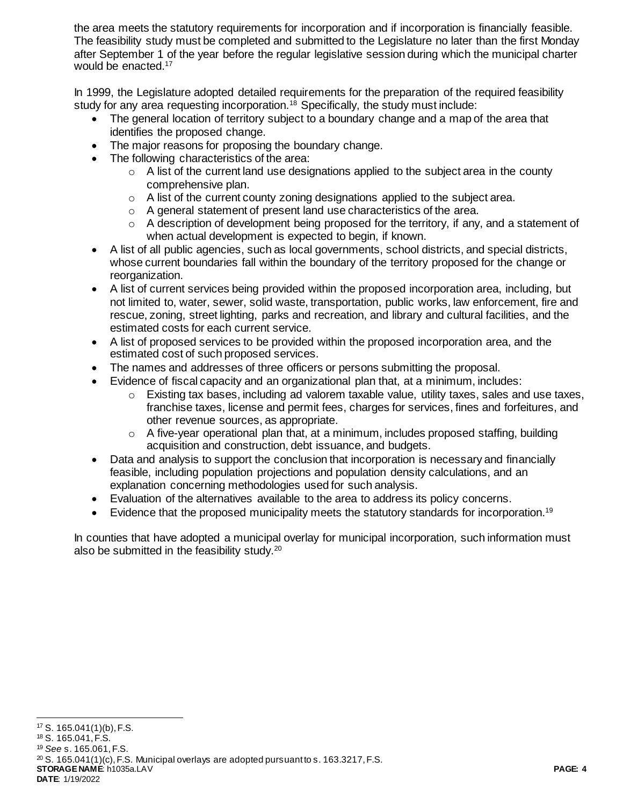the area meets the statutory requirements for incorporation and if incorporation is financially feasible. The feasibility study must be completed and submitted to the Legislature no later than the first Monday after September 1 of the year before the regular legislative session during which the municipal charter would be enacted.<sup>17</sup>

In 1999, the Legislature adopted detailed requirements for the preparation of the required feasibility study for any area requesting incorporation.<sup>18</sup> Specifically, the study must include:

- The general location of territory subject to a boundary change and a map of the area that identifies the proposed change.
- The major reasons for proposing the boundary change.
- The following characteristics of the area:
	- $\circ$  A list of the current land use designations applied to the subject area in the county comprehensive plan.
	- $\circ$  A list of the current county zoning designations applied to the subject area.
	- o A general statement of present land use characteristics of the area.
	- o A description of development being proposed for the territory, if any, and a statement of when actual development is expected to begin, if known.
- A list of all public agencies, such as local governments, school districts, and special districts, whose current boundaries fall within the boundary of the territory proposed for the change or reorganization.
- A list of current services being provided within the proposed incorporation area, including, but not limited to, water, sewer, solid waste, transportation, public works, law enforcement, fire and rescue, zoning, street lighting, parks and recreation, and library and cultural facilities, and the estimated costs for each current service.
- A list of proposed services to be provided within the proposed incorporation area, and the estimated cost of such proposed services.
- The names and addresses of three officers or persons submitting the proposal.
- Evidence of fiscal capacity and an organizational plan that, at a minimum, includes:
	- $\circ$  Existing tax bases, including ad valorem taxable value, utility taxes, sales and use taxes, franchise taxes, license and permit fees, charges for services, fines and forfeitures, and other revenue sources, as appropriate.
	- $\circ$  A five-year operational plan that, at a minimum, includes proposed staffing, building acquisition and construction, debt issuance, and budgets.
- Data and analysis to support the conclusion that incorporation is necessary and financially feasible, including population projections and population density calculations, and an explanation concerning methodologies used for such analysis.
- Evaluation of the alternatives available to the area to address its policy concerns.
- Evidence that the proposed municipality meets the statutory standards for incorporation.<sup>19</sup>

In counties that have adopted a municipal overlay for municipal incorporation, such information must also be submitted in the feasibility study.<sup>20</sup>

 $\overline{a}$ <sup>17</sup> S. 165.041(1)(b), F.S.

**STORAGE NAME**: h1035a.LAV **PAGE: 4 DATE**: 1/19/2022 <sup>18</sup> S. 165.041, F.S. <sup>19</sup> *See* s. 165.061, F.S.  $20$  S. 165.041(1)(c), F.S. Municipal overlays are adopted pursuant to s. 163.3217, F.S.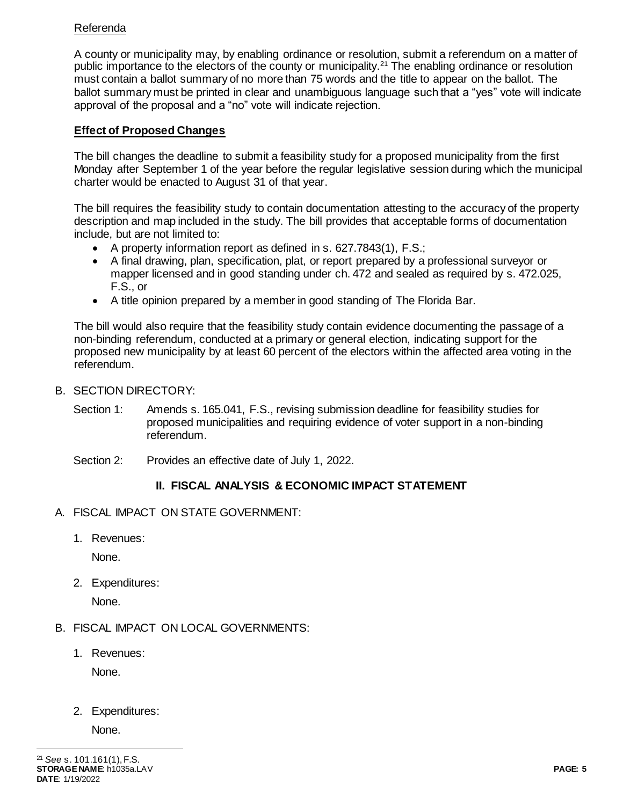## Referenda

A county or municipality may, by enabling ordinance or resolution, submit a referendum on a matter of public importance to the electors of the county or municipality.<sup>21</sup> The enabling ordinance or resolution must contain a ballot summary of no more than 75 words and the title to appear on the ballot. The ballot summary must be printed in clear and unambiguous language such that a "yes" vote will indicate approval of the proposal and a "no" vote will indicate rejection.

# **Effect of Proposed Changes**

The bill changes the deadline to submit a feasibility study for a proposed municipality from the first Monday after September 1 of the year before the regular legislative session during which the municipal charter would be enacted to August 31 of that year.

The bill requires the feasibility study to contain documentation attesting to the accuracy of the property description and map included in the study. The bill provides that acceptable forms of documentation include, but are not limited to:

- A property information report as defined in s. 627.7843(1), F.S.;
- A final drawing, plan, specification, plat, or report prepared by a professional surveyor or mapper licensed and in good standing under ch. 472 and sealed as required by s. 472.025, F.S., or
- A title opinion prepared by a member in good standing of The Florida Bar.

The bill would also require that the feasibility study contain evidence documenting the passage of a non-binding referendum, conducted at a primary or general election, indicating support for the proposed new municipality by at least 60 percent of the electors within the affected area voting in the referendum.

- B. SECTION DIRECTORY:
	- Section 1: Amends s. 165.041, F.S., revising submission deadline for feasibility studies for proposed municipalities and requiring evidence of voter support in a non-binding referendum.
	- Section 2: Provides an effective date of July 1, 2022.

# **II. FISCAL ANALYSIS & ECONOMIC IMPACT STATEMENT**

- A. FISCAL IMPACT ON STATE GOVERNMENT:
	- 1. Revenues:

None.

2. Expenditures:

None.

- B. FISCAL IMPACT ON LOCAL GOVERNMENTS:
	- 1. Revenues:

None.

2. Expenditures:

None.

 $\overline{a}$